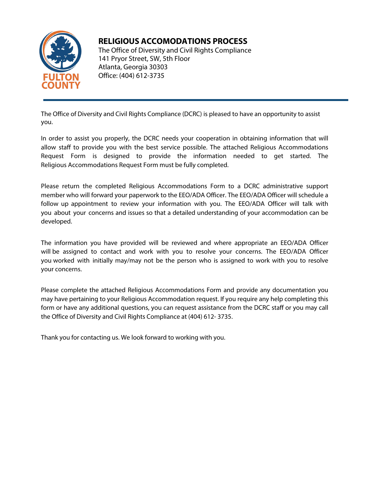

# **RELIGIOUS ACCOMODATIONS PROCESS**

The Office of Diversity and Civil Rights Compliance 141 Pryor Street, SW, 5th Floor Atlanta, Georgia 30303 Office: (404) 612-3735

The Office of Diversity and Civil Rights Compliance (DCRC) is pleased to have an opportunity to assist you.

In order to assist you properly, the DCRC needs your cooperation in obtaining information that will allow staff to provide you with the best service possible. The attached Religious Accommodations Request Form is designed to provide the information needed to get started. The Religious Accommodations Request Form must be fully completed.

Please return the completed Religious Accommodations Form to a DCRC administrative support member who will forward your paperwork to the EEO/ADA Officer. The EEO/ADA Officer will schedule a follow up appointment to review your information with you. The EEO/ADA Officer will talk with you about your concerns and issues so that a detailed understanding of your accommodation can be developed.

The information you have provided will be reviewed and where appropriate an EEO/ADA Officer will be assigned to contact and work with you to resolve your concerns. The EEO/ADA Officer you worked with initially may/may not be the person who is assigned to work with you to resolve your concerns.

Please complete the attached Religious Accommodations Form and provide any documentation you may have pertaining to your Religious Accommodation request. If you require any help completing this form or have any additional questions, you can request assistance from the DCRC staff or you may call the Office of Diversity and Civil Rights Compliance at (404) 612- 3735.

Thank you for contacting us. We look forward to working with you.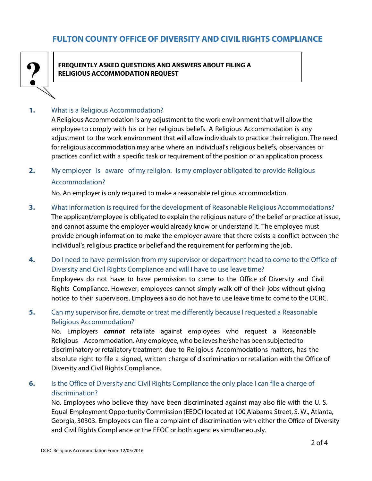## **FULTON COUNTY OFFICE OF DIVERSITY AND CIVIL RIGHTS COMPLIANCE**



## **FREQUENTLY ASKED QUESTIONS AND ANSWERS ABOUT FILING A RELIGIOUS ACCOMMODATION REQUEST**

## **1.** What is a Religious Accommodation?

A Religious Accommodation is any adjustment to the work environment that will allow the employee to comply with his or her religious beliefs. A Religious Accommodation is any adjustment to the work environment that will allow individuals to practice their religion. The need for religious accommodation may arise where an individual's religious beliefs, observances or practices conflict with a specific task or requirement of the position or an application process.

**2.** My employer is aware of my religion. Is my employer obligated to provide Religious Accommodation?

No. An employer is only required to make a reasonable religious accommodation.

- **3.** What information is required for the development of Reasonable Religious Accommodations? The applicant/employee is obligated to explain the religious nature of the belief or practice at issue, and cannot assume the employer would already know or understand it. The employee must provide enough information to make the employer aware that there exists a conflict between the individual's religious practice or belief and the requirement for performing the job.
- **4.** Do I need to have permission from my supervisor or department head to come to the Office of Diversity and Civil Rights Compliance and will I have to use leave time? Employees do not have to have permission to come to the Office of Diversity and Civil Rights Compliance. However, employees cannot simply walk off of their jobs without giving notice to their supervisors. Employees also do not have to use leave time to come to the DCRC.
- **5.** Can my supervisor fire, demote or treat me differently because I requested a Reasonable Religious Accommodation?

No. Employers **cannot** retaliate against employees who request a Reasonable Religious Accommodation. Any employee, who believes he/she has been subjected to discriminatory or retaliatory treatment due to Religious Accommodations matters, has the absolute right to file a signed, written charge of discrimination or retaliation with the Office of Diversity and Civil Rights Compliance.

## **6.** Is the Office of Diversity and Civil Rights Compliance the only place I can file a charge of discrimination?

No. Employees who believe they have been discriminated against may also file with the U. S. Equal Employment Opportunity Commission (EEOC) located at 100 Alabama Street, S. W., Atlanta, Georgia, 30303. Employees can file a complaint of discrimination with either the Office of Diversity and Civil Rights Compliance or the EEOC or both agencies simultaneously.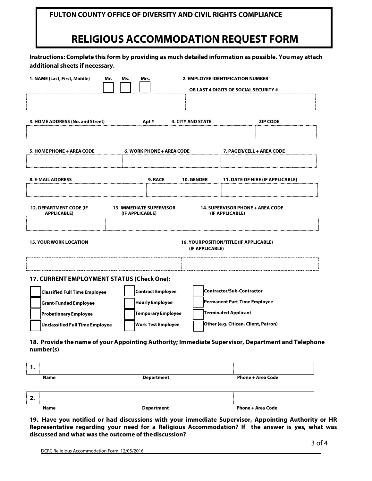## **FULTON COUNTY OFFICE OF DIVERSITY AND CIVIL RIGHTS COMPLIANCE**

# **RELIGIOUS ACCOMMODATION REQUEST FORM**

## **Instructions: Complete this form by providing as much detailed information as possible. You may attach additional sheets if necessary.**

| 1. NAME (Last, First, Middle)<br>Mr.                                                                                                                                    | <b>2. EMPLOYEE IDENTIFICATION NUMBER</b><br>Ms.<br>Mrs.<br>OR LAST 4 DIGITS OF SOCIAL SECURITY # |                           |                                                                  |  |  |  |
|-------------------------------------------------------------------------------------------------------------------------------------------------------------------------|--------------------------------------------------------------------------------------------------|---------------------------|------------------------------------------------------------------|--|--|--|
|                                                                                                                                                                         |                                                                                                  |                           |                                                                  |  |  |  |
| 3. HOME ADDRESS (No. and Street)                                                                                                                                        | Apt#                                                                                             | <b>4. CITY AND STATE</b>  | <b>ZIP CODE</b>                                                  |  |  |  |
| 5. HOME PHONE + AREA CODE                                                                                                                                               | 6. WORK PHONE + AREA CODE                                                                        | 7. PAGER/CELL + AREA CODE |                                                                  |  |  |  |
| <b>8. E-MAIL ADDRESS</b>                                                                                                                                                | <b>9. RACE</b>                                                                                   | <b>10. GENDER</b>         | 11. DATE OF HIRE (IF APPLICABLE)                                 |  |  |  |
| <b>12. DEPARTMENT CODE (IF</b><br><b>13. IMMEDIATE SUPERVISOR</b><br><b>14. SUPERVISOR PHONE + AREA CODE</b><br>(IF APPLICABLE)<br>(IF APPLICABLE)<br><b>APPLICABLE</b> |                                                                                                  |                           |                                                                  |  |  |  |
| <b>15. YOUR WORK LOCATION</b><br>16. YOUR POSITION/TITLE (IF APPLICABLE)<br>(IF APPLICABLE)                                                                             |                                                                                                  |                           |                                                                  |  |  |  |
| 17. CURRENT EMPLOYMENT STATUS (Check One):                                                                                                                              |                                                                                                  |                           |                                                                  |  |  |  |
| <b>Classified Full Time Employee</b><br><b>Grant-Funded Employee</b>                                                                                                    | <b>Contract Employee</b><br>Hourly Employee                                                      |                           | <b>Contractor/Sub-Contractor</b><br>Permanent Part-Time Employee |  |  |  |
| <b>Probationary Employee</b>                                                                                                                                            | <b>Temporary Employee</b>                                                                        |                           | <b>Terminated Applicant</b>                                      |  |  |  |
| <b>Unclassified Full Time Employee</b>                                                                                                                                  | <b>Work Test Employee</b>                                                                        |                           | Other (e.g. Citizen, Client, Patron)                             |  |  |  |

#### **18. Provide the name of your Appointing Authority; Immediate Supervisor, Department and Telephone number(s)**

| . . |      |                   |                          |
|-----|------|-------------------|--------------------------|
|     | Name | <b>Department</b> | <b>Phone + Area Code</b> |

| <b>Name</b> | <b>Department</b> | <b>Phone + Area Code</b> |
|-------------|-------------------|--------------------------|
|             |                   |                          |

**19. Have you notified or had discussions with your immediate Supervisor, Appointing Authority or HR Representative regarding your need for a Religious Accommodation? If the answer is yes, what was discussed and what was the outcome of thediscussion?**